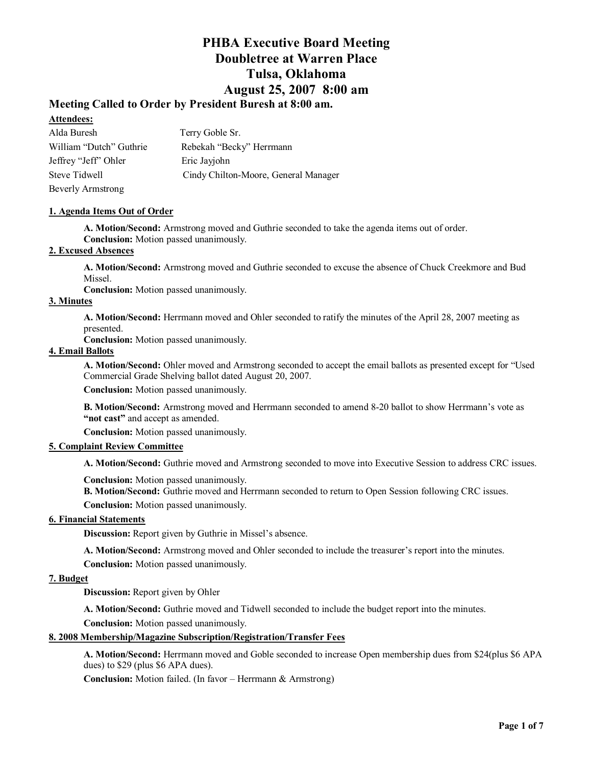### **Meeting Called to Order by President Buresh at 8:00 am.**

### **Attendees:**

| Alda Buresh             | Terry Goble Sr.                      |
|-------------------------|--------------------------------------|
| William "Dutch" Guthrie | Rebekah "Becky" Herrmann             |
| Jeffrey "Jeff" Ohler    | Eric Javiohn                         |
| Steve Tidwell           | Cindy Chilton-Moore, General Manager |
| Beverly Armstrong       |                                      |

### **1. Agenda Items Out of Order**

**A. Motion/Second:** Armstrong moved and Guthrie seconded to take the agenda items out of order. **Conclusion:** Motion passed unanimously.

### **2. Excused Absences**

**A. Motion/Second:** Armstrong moved and Guthrie seconded to excuse the absence of Chuck Creekmore and Bud Missel.

**Conclusion:** Motion passed unanimously.

### **3. Minutes**

**A. Motion/Second:** Herrmann moved and Ohler seconded to ratify the minutes of the April 28, 2007 meeting as presented.

**Conclusion:** Motion passed unanimously.

### **4. Email Ballots**

**A. Motion/Second:** Ohler moved and Armstrong seconded to accept the email ballots as presented except for "Used Commercial Grade Shelving ballot dated August 20, 2007.

**Conclusion:** Motion passed unanimously.

**B. Motion/Second:** Armstrong moved and Herrmann seconded to amend 8-20 ballot to show Herrmann's vote as **"not cast"** and accept as amended.

**Conclusion:** Motion passed unanimously.

### **5. Complaint Review Committee**

**A. Motion/Second:** Guthrie moved and Armstrong seconded to move into Executive Session to address CRC issues.

**Conclusion:** Motion passed unanimously.

**B. Motion/Second:** Guthrie moved and Herrmann seconded to return to Open Session following CRC issues.

**Conclusion:** Motion passed unanimously.

### **6. Financial Statements**

**Discussion:** Report given by Guthrie in Missel's absence.

**A. Motion/Second:** Armstrong moved and Ohler seconded to include the treasurer's report into the minutes.

**Conclusion:** Motion passed unanimously.

### **7. Budget**

**Discussion:** Report given by Ohler

**A. Motion/Second:** Guthrie moved and Tidwell seconded to include the budget report into the minutes.

**Conclusion:** Motion passed unanimously.

### **8. 2008 Membership/Magazine Subscription/Registration/Transfer Fees**

**A. Motion/Second:** Herrmann moved and Goble seconded to increase Open membership dues from \$24(plus \$6 APA dues) to \$29 (plus \$6 APA dues).

**Conclusion:** Motion failed. (In favor – Herrmann & Armstrong)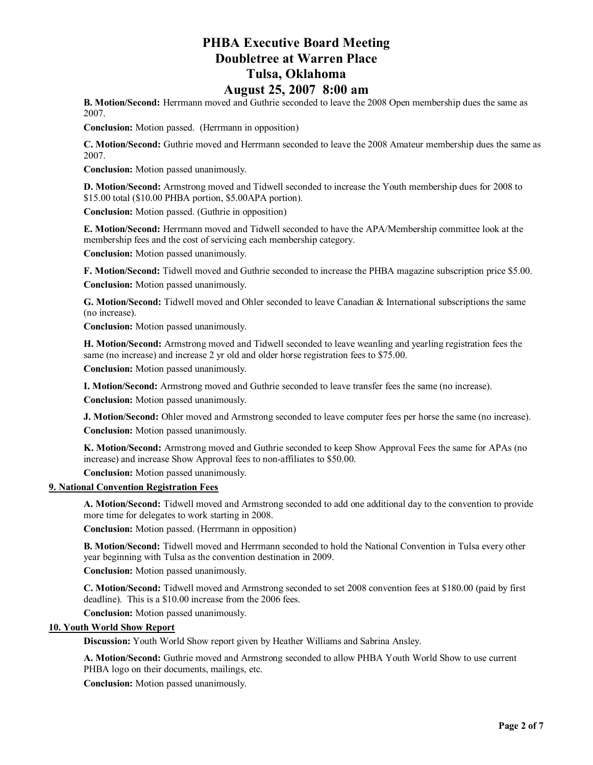**B. Motion/Second:** Herrmann moved and Guthrie seconded to leave the 2008 Open membership dues the same as 2007.

**Conclusion:** Motion passed. (Herrmann in opposition)

**C. Motion/Second:** Guthrie moved and Herrmann seconded to leave the 2008 Amateur membership dues the same as 2007.

**Conclusion:** Motion passed unanimously.

**D. Motion/Second:** Armstrong moved and Tidwell seconded to increase the Youth membership dues for 2008 to \$15.00 total (\$10.00 PHBA portion, \$5.00APA portion).

**Conclusion:** Motion passed. (Guthrie in opposition)

**E. Motion/Second:** Herrmann moved and Tidwell seconded to have the APA/Membership committee look at the membership fees and the cost of servicing each membership category.

**Conclusion:** Motion passed unanimously.

**F. Motion/Second:** Tidwell moved and Guthrie seconded to increase the PHBA magazine subscription price \$5.00. **Conclusion:** Motion passed unanimously.

**G. Motion/Second:** Tidwell moved and Ohler seconded to leave Canadian & International subscriptions the same (no increase).

**Conclusion:** Motion passed unanimously.

**H. Motion/Second:** Armstrong moved and Tidwell seconded to leave weanling and yearling registration fees the same (no increase) and increase 2 yr old and older horse registration fees to \$75.00.

**Conclusion:** Motion passed unanimously.

**I. Motion/Second:** Armstrong moved and Guthrie seconded to leave transfer fees the same (no increase).

**Conclusion:** Motion passed unanimously.

**J. Motion/Second:** Ohler moved and Armstrong seconded to leave computer fees per horse the same (no increase). **Conclusion:** Motion passed unanimously.

**K. Motion/Second:** Armstrong moved and Guthrie seconded to keep Show Approval Fees the same for APAs (no increase) and increase Show Approval fees to non-affiliates to \$50.00.

**Conclusion:** Motion passed unanimously.

#### **9. National Convention Registration Fees**

**A. Motion/Second:** Tidwell moved and Armstrong seconded to add one additional day to the convention to provide more time for delegates to work starting in 2008.

**Conclusion:** Motion passed. (Herrmann in opposition)

**B. Motion/Second:** Tidwell moved and Herrmann seconded to hold the National Convention in Tulsa every other year beginning with Tulsa as the convention destination in 2009.

**Conclusion:** Motion passed unanimously.

**C. Motion/Second:** Tidwell moved and Armstrong seconded to set 2008 convention fees at \$180.00 (paid by first deadline). This is a \$10.00 increase from the 2006 fees.

**Conclusion:** Motion passed unanimously.

### **10. Youth World Show Report**

**Discussion:** Youth World Show report given by Heather Williams and Sabrina Ansley.

**A. Motion/Second:** Guthrie moved and Armstrong seconded to allow PHBA Youth World Show to use current PHBA logo on their documents, mailings, etc.

**Conclusion:** Motion passed unanimously.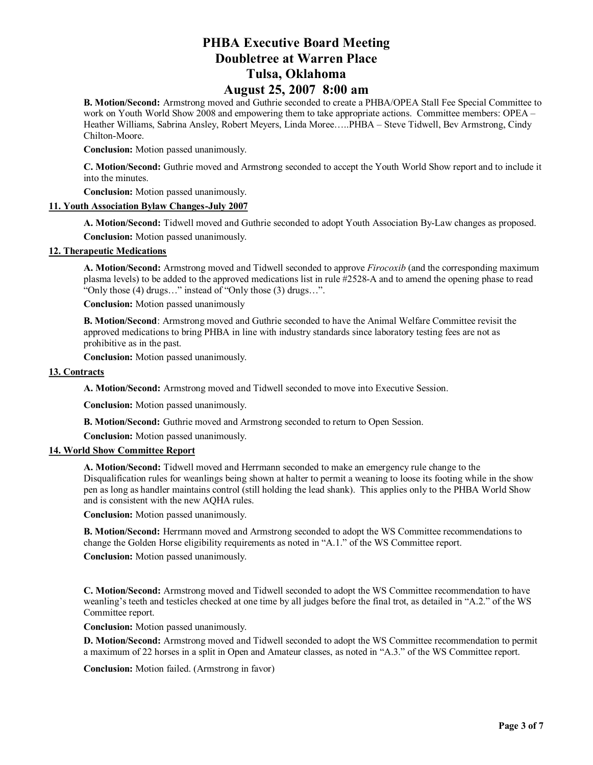**B. Motion/Second:** Armstrong moved and Guthrie seconded to create a PHBA/OPEA Stall Fee Special Committee to work on Youth World Show 2008 and empowering them to take appropriate actions. Committee members: OPEA – Heather Williams, Sabrina Ansley, Robert Meyers, Linda Moree…..PHBA – Steve Tidwell, Bev Armstrong, Cindy Chilton-Moore.

**Conclusion:** Motion passed unanimously.

**C. Motion/Second:** Guthrie moved and Armstrong seconded to accept the Youth World Show report and to include it into the minutes.

**Conclusion:** Motion passed unanimously.

### **11. Youth Association Bylaw Changes-July 2007**

**A. Motion/Second:** Tidwell moved and Guthrie seconded to adopt Youth Association By-Law changes as proposed. **Conclusion:** Motion passed unanimously.

#### **12. Therapeutic Medications**

**A. Motion/Second:** Armstrong moved and Tidwell seconded to approve *Firocoxib* (and the corresponding maximum plasma levels) to be added to the approved medications list in rule #2528-A and to amend the opening phase to read "Only those (4) drugs…" instead of "Only those (3) drugs…".

**Conclusion:** Motion passed unanimously

**B. Motion/Second**: Armstrong moved and Guthrie seconded to have the Animal Welfare Committee revisit the approved medications to bring PHBA in line with industry standards since laboratory testing fees are not as prohibitive as in the past.

**Conclusion:** Motion passed unanimously.

#### **13. Contracts**

**A. Motion/Second:** Armstrong moved and Tidwell seconded to move into Executive Session.

**Conclusion:** Motion passed unanimously.

**B. Motion/Second:** Guthrie moved and Armstrong seconded to return to Open Session.

**Conclusion:** Motion passed unanimously.

### **14. World Show Committee Report**

**A. Motion/Second:** Tidwell moved and Herrmann seconded to make an emergency rule change to the Disqualification rules for weanlings being shown at halter to permit a weaning to loose its footing while in the show pen as long as handler maintains control (still holding the lead shank). This applies only to the PHBA World Show and is consistent with the new AQHA rules.

**Conclusion:** Motion passed unanimously.

**B. Motion/Second:** Herrmann moved and Armstrong seconded to adopt the WS Committee recommendations to change the Golden Horse eligibility requirements as noted in "A.1." of the WS Committee report.

**Conclusion:** Motion passed unanimously.

**C. Motion/Second:** Armstrong moved and Tidwell seconded to adopt the WS Committee recommendation to have weanling's teeth and testicles checked at one time by all judges before the final trot, as detailed in "A.2." of the WS Committee report.

**Conclusion:** Motion passed unanimously.

**D. Motion/Second:** Armstrong moved and Tidwell seconded to adopt the WS Committee recommendation to permit a maximum of 22 horses in a split in Open and Amateur classes, as noted in "A.3." of the WS Committee report.

**Conclusion:** Motion failed. (Armstrong in favor)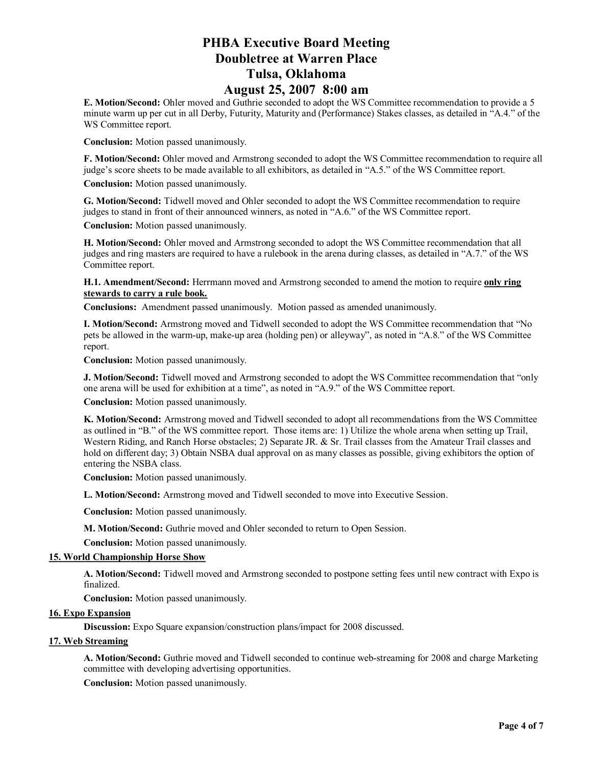**E. Motion/Second:** Ohler moved and Guthrie seconded to adopt the WS Committee recommendation to provide a 5 minute warm up per cut in all Derby, Futurity, Maturity and (Performance) Stakes classes, as detailed in "A.4." of the WS Committee report.

**Conclusion:** Motion passed unanimously.

**F. Motion/Second:** Ohler moved and Armstrong seconded to adopt the WS Committee recommendation to require all judge's score sheets to be made available to all exhibitors, as detailed in "A.5." of the WS Committee report.

**Conclusion:** Motion passed unanimously.

**G. Motion/Second:** Tidwell moved and Ohler seconded to adopt the WS Committee recommendation to require judges to stand in front of their announced winners, as noted in "A.6." of the WS Committee report.

**Conclusion:** Motion passed unanimously.

**H. Motion/Second:** Ohler moved and Armstrong seconded to adopt the WS Committee recommendation that all judges and ring masters are required to have a rulebook in the arena during classes, as detailed in "A.7." of the WS Committee report.

**H.1. Amendment/Second:** Herrmann moved and Armstrong seconded to amend the motion to require **only ring stewards to carry a rule book.**

**Conclusions:** Amendment passed unanimously. Motion passed as amended unanimously.

**I. Motion/Second:** Armstrong moved and Tidwell seconded to adopt the WS Committee recommendation that "No pets be allowed in the warm-up, make-up area (holding pen) or alleyway", as noted in "A.8." of the WS Committee report.

**Conclusion:** Motion passed unanimously.

**J. Motion/Second:** Tidwell moved and Armstrong seconded to adopt the WS Committee recommendation that "only one arena will be used for exhibition at a time", as noted in "A.9." of the WS Committee report.

**Conclusion:** Motion passed unanimously.

**K. Motion/Second:** Armstrong moved and Tidwell seconded to adopt all recommendations from the WS Committee as outlined in "B." of the WS committee report. Those items are: 1) Utilize the whole arena when setting up Trail, Western Riding, and Ranch Horse obstacles; 2) Separate JR. & Sr. Trail classes from the Amateur Trail classes and hold on different day; 3) Obtain NSBA dual approval on as many classes as possible, giving exhibitors the option of entering the NSBA class.

**Conclusion:** Motion passed unanimously.

**L. Motion/Second:** Armstrong moved and Tidwell seconded to move into Executive Session.

**Conclusion:** Motion passed unanimously.

**M. Motion/Second:** Guthrie moved and Ohler seconded to return to Open Session.

**Conclusion:** Motion passed unanimously.

### **15. World Championship Horse Show**

**A. Motion/Second:** Tidwell moved and Armstrong seconded to postpone setting fees until new contract with Expo is finalized.

**Conclusion:** Motion passed unanimously.

### **16. Expo Expansion**

**Discussion:** Expo Square expansion/construction plans/impact for 2008 discussed.

### **17. Web Streaming**

**A. Motion/Second:** Guthrie moved and Tidwell seconded to continue web-streaming for 2008 and charge Marketing committee with developing advertising opportunities.

**Conclusion:** Motion passed unanimously.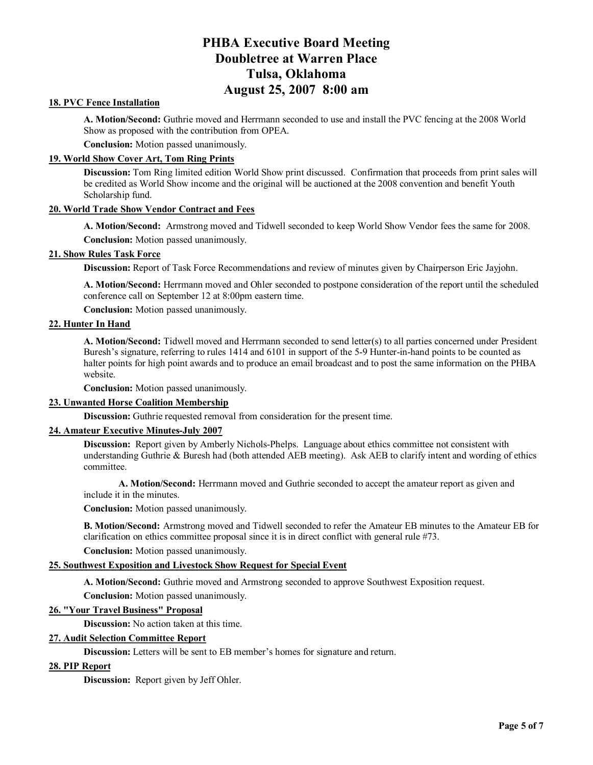### **18. PVC Fence Installation**

**A. Motion/Second:** Guthrie moved and Herrmann seconded to use and install the PVC fencing at the 2008 World Show as proposed with the contribution from OPEA.

**Conclusion:** Motion passed unanimously.

### **19. World Show Cover Art, Tom Ring Prints**

**Discussion:** Tom Ring limited edition World Show print discussed. Confirmation that proceeds from print sales will be credited as World Show income and the original will be auctioned at the 2008 convention and benefit Youth Scholarship fund.

#### **20. World Trade Show Vendor Contract and Fees**

**A. Motion/Second:** Armstrong moved and Tidwell seconded to keep World Show Vendor fees the same for 2008. **Conclusion:** Motion passed unanimously.

### **21. Show Rules Task Force**

**Discussion:** Report of Task Force Recommendations and review of minutes given by Chairperson Eric Jayjohn.

**A. Motion/Second:** Herrmann moved and Ohler seconded to postpone consideration of the report until the scheduled conference call on September 12 at 8:00pm eastern time.

**Conclusion:** Motion passed unanimously.

### **22. Hunter In Hand**

**A. Motion/Second:** Tidwell moved and Herrmann seconded to send letter(s) to all parties concerned under President Buresh's signature, referring to rules 1414 and 6101 in support of the 5-9 Hunter-in-hand points to be counted as halter points for high point awards and to produce an email broadcast and to post the same information on the PHBA website.

**Conclusion:** Motion passed unanimously.

### **23. Unwanted Horse Coalition Membership**

**Discussion:** Guthrie requested removal from consideration for the present time.

### **24. Amateur Executive Minutes-July 2007**

**Discussion:** Report given by Amberly Nichols-Phelps. Language about ethics committee not consistent with understanding Guthrie & Buresh had (both attended AEB meeting). Ask AEB to clarify intent and wording of ethics committee.

**A. Motion/Second:** Herrmann moved and Guthrie seconded to accept the amateur report as given and include it in the minutes.

**Conclusion:** Motion passed unanimously.

**B. Motion/Second:** Armstrong moved and Tidwell seconded to refer the Amateur EB minutes to the Amateur EB for clarification on ethics committee proposal since it is in direct conflict with general rule #73.

**Conclusion:** Motion passed unanimously.

### **25. Southwest Exposition and Livestock Show Request for Special Event**

**A. Motion/Second:** Guthrie moved and Armstrong seconded to approve Southwest Exposition request.

**Conclusion:** Motion passed unanimously.

### **26. "Your Travel Business" Proposal**

**Discussion:** No action taken at this time.

### **27. Audit Selection Committee Report**

**Discussion:** Letters will be sent to EB member's homes for signature and return.

### **28. PIP Report**

**Discussion:** Report given by Jeff Ohler.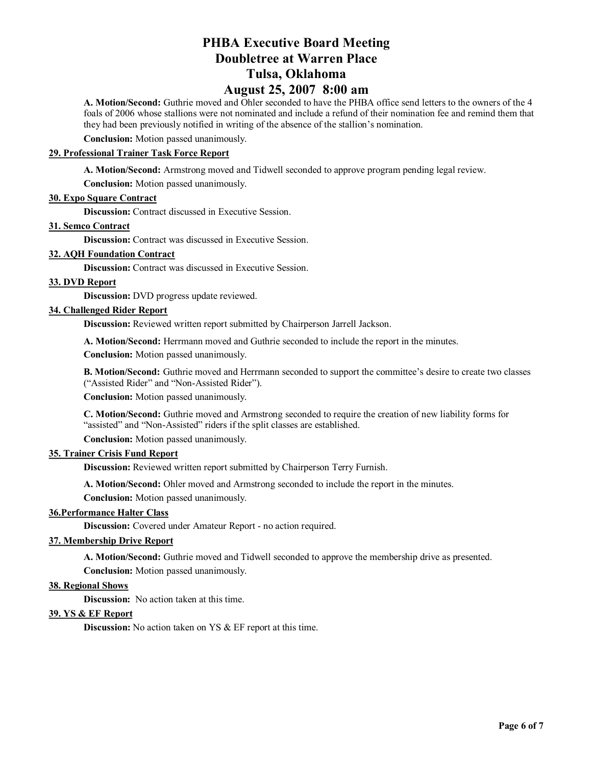# **PHBA Executive Board Meeting Doubletree at Warren Place Tulsa, Oklahoma**

### **August 25, 2007 8:00 am**

**A. Motion/Second:** Guthrie moved and Ohler seconded to have the PHBA office send letters to the owners of the 4 foals of 2006 whose stallions were not nominated and include a refund of their nomination fee and remind them that they had been previously notified in writing of the absence of the stallion's nomination.

**Conclusion:** Motion passed unanimously.

### **29. Professional Trainer Task Force Report**

**A. Motion/Second:** Armstrong moved and Tidwell seconded to approve program pending legal review.

**Conclusion:** Motion passed unanimously.

### **30. Expo Square Contract**

**Discussion:** Contract discussed in Executive Session.

### **31. Semco Contract**

**Discussion:** Contract was discussed in Executive Session.

### **32. AQH Foundation Contract**

**Discussion:** Contract was discussed in Executive Session.

#### **33. DVD Report**

**Discussion:** DVD progress update reviewed.

#### **34. Challenged Rider Report**

**Discussion:** Reviewed written report submitted by Chairperson Jarrell Jackson.

**A. Motion/Second:** Herrmann moved and Guthrie seconded to include the report in the minutes.

**Conclusion:** Motion passed unanimously.

**B. Motion/Second:** Guthrie moved and Herrmann seconded to support the committee's desire to create two classes ("Assisted Rider" and "Non-Assisted Rider").

**Conclusion:** Motion passed unanimously.

**C. Motion/Second:** Guthrie moved and Armstrong seconded to require the creation of new liability forms for "assisted" and "Non-Assisted" riders if the split classes are established.

**Conclusion:** Motion passed unanimously.

### **35. Trainer Crisis Fund Report**

**Discussion:** Reviewed written report submitted by Chairperson Terry Furnish.

**A. Motion/Second:** Ohler moved and Armstrong seconded to include the report in the minutes.

**Conclusion:** Motion passed unanimously.

### **36.Performance Halter Class**

**Discussion:** Covered under Amateur Report - no action required.

#### **37. Membership Drive Report**

**A. Motion/Second:** Guthrie moved and Tidwell seconded to approve the membership drive as presented.

**Conclusion:** Motion passed unanimously.

### **38. Regional Shows**

**Discussion:** No action taken at this time.

### **39. YS & EF Report**

**Discussion:** No action taken on YS & EF report at this time.